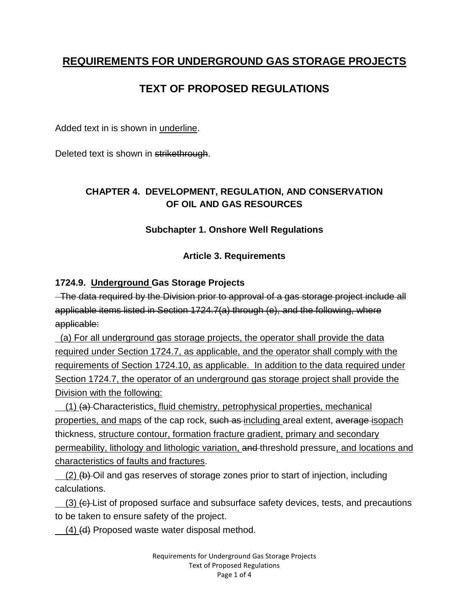## **REQUIREMENTS FOR UNDERGROUND GAS STORAGE PROJECTS**

# **TEXT OF PROPOSED REGULATIONS**

Added text in is shown in underline.

Deleted text is shown in strikethrough.

## **CHAPTER 4. DEVELOPMENT, REGULATION, AND CONSERVATION OF OIL AND GAS RESOURCES**

#### **Subchapter 1. Onshore Well Regulations**

#### **Article 3. Requirements**

### **1724.9. Underground Gas Storage Projects**

 The data required by the Division prior to approval of a gas storage project include all applicable items listed in Section 1724.7(a) through (e), and the following, where applicable:

 (a) For all underground gas storage projects, the operator shall provide the data required under Section 1724.7, as applicable, and the operator shall comply with the requirements of Section 1724.10, as applicable. In addition to the data required under Section 1724.7, the operator of an underground gas storage project shall provide the Division with the following:

 (1) (a) Characteristics, fluid chemistry, petrophysical properties, mechanical properties, and maps of the cap rock, such as including areal extent, average isopach thickness, structure contour, formation fracture gradient, primary and secondary permeability, lithology and lithologic variation, and threshold pressure, and locations and characteristics of faults and fractures.

(2) (b) Oil and gas reserves of storage zones prior to start of injection, including calculations.

 (3) (c) List of proposed surface and subsurface safety devices, tests, and precautions to be taken to ensure safety of the project.

 $(4)$  (d) Proposed waste water disposal method.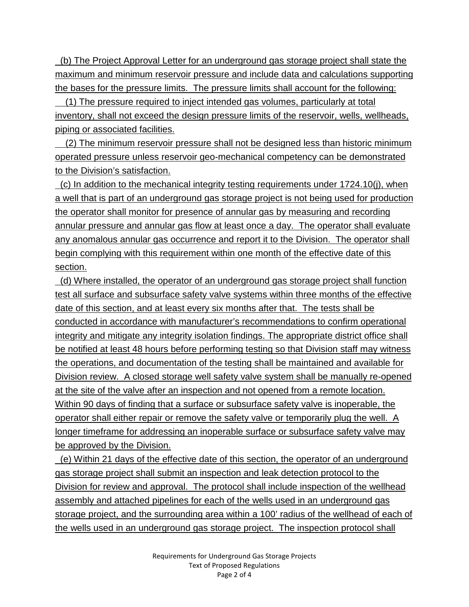(b) The Project Approval Letter for an underground gas storage project shall state the maximum and minimum reservoir pressure and include data and calculations supporting the bases for the pressure limits. The pressure limits shall account for the following:

 (1) The pressure required to inject intended gas volumes, particularly at total inventory, shall not exceed the design pressure limits of the reservoir, wells, wellheads, piping or associated facilities.

 (2) The minimum reservoir pressure shall not be designed less than historic minimum operated pressure unless reservoir geo-mechanical competency can be demonstrated to the Division's satisfaction.

 (c) In addition to the mechanical integrity testing requirements under 1724.10(j), when a well that is part of an underground gas storage project is not being used for production the operator shall monitor for presence of annular gas by measuring and recording annular pressure and annular gas flow at least once a day. The operator shall evaluate any anomalous annular gas occurrence and report it to the Division. The operator shall begin complying with this requirement within one month of the effective date of this section.

 (d) Where installed, the operator of an underground gas storage project shall function test all surface and subsurface safety valve systems within three months of the effective date of this section, and at least every six months after that. The tests shall be conducted in accordance with manufacturer's recommendations to confirm operational integrity and mitigate any integrity isolation findings. The appropriate district office shall be notified at least 48 hours before performing testing so that Division staff may witness the operations, and documentation of the testing shall be maintained and available for Division review. A closed storage well safety valve system shall be manually re-opened at the site of the valve after an inspection and not opened from a remote location. Within 90 days of finding that a surface or subsurface safety valve is inoperable, the operator shall either repair or remove the safety valve or temporarily plug the well. A longer timeframe for addressing an inoperable surface or subsurface safety valve may be approved by the Division.

 (e) Within 21 days of the effective date of this section, the operator of an underground gas storage project shall submit an inspection and leak detection protocol to the Division for review and approval. The protocol shall include inspection of the wellhead assembly and attached pipelines for each of the wells used in an underground gas storage project, and the surrounding area within a 100' radius of the wellhead of each of the wells used in an underground gas storage project. The inspection protocol shall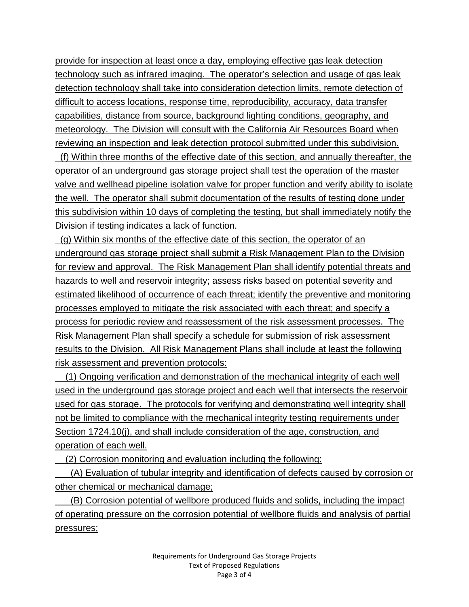provide for inspection at least once a day, employing effective gas leak detection technology such as infrared imaging. The operator's selection and usage of gas leak detection technology shall take into consideration detection limits, remote detection of difficult to access locations, response time, reproducibility, accuracy, data transfer capabilities, distance from source, background lighting conditions, geography, and meteorology. The Division will consult with the California Air Resources Board when reviewing an inspection and leak detection protocol submitted under this subdivision.

 (f) Within three months of the effective date of this section, and annually thereafter, the operator of an underground gas storage project shall test the operation of the master valve and wellhead pipeline isolation valve for proper function and verify ability to isolate the well. The operator shall submit documentation of the results of testing done under this subdivision within 10 days of completing the testing, but shall immediately notify the Division if testing indicates a lack of function.

 (g) Within six months of the effective date of this section, the operator of an underground gas storage project shall submit a Risk Management Plan to the Division for review and approval. The Risk Management Plan shall identify potential threats and hazards to well and reservoir integrity; assess risks based on potential severity and estimated likelihood of occurrence of each threat; identify the preventive and monitoring processes employed to mitigate the risk associated with each threat; and specify a process for periodic review and reassessment of the risk assessment processes. The Risk Management Plan shall specify a schedule for submission of risk assessment results to the Division. All Risk Management Plans shall include at least the following risk assessment and prevention protocols:

 (1) Ongoing verification and demonstration of the mechanical integrity of each well used in the underground gas storage project and each well that intersects the reservoir used for gas storage. The protocols for verifying and demonstrating well integrity shall not be limited to compliance with the mechanical integrity testing requirements under Section 1724.10(j), and shall include consideration of the age, construction, and operation of each well.

(2) Corrosion monitoring and evaluation including the following:

 (A) Evaluation of tubular integrity and identification of defects caused by corrosion or other chemical or mechanical damage;

 (B) Corrosion potential of wellbore produced fluids and solids, including the impact of operating pressure on the corrosion potential of wellbore fluids and analysis of partial pressures;